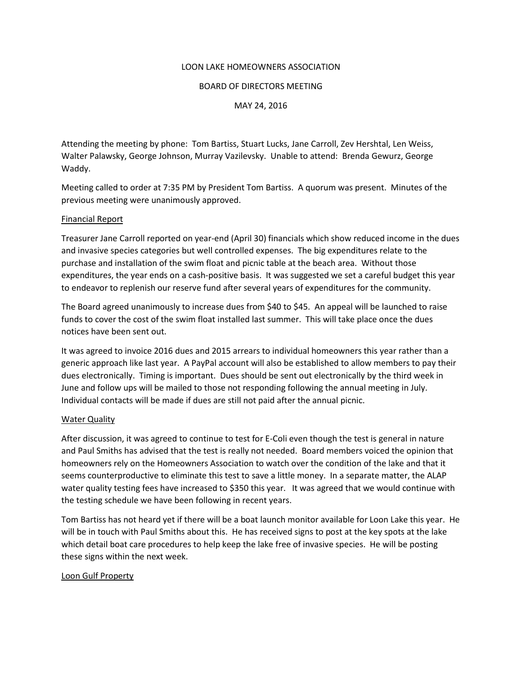#### LOON LAKE HOMEOWNERS ASSOCIATION

#### BOARD OF DIRECTORS MEETING

MAY 24, 2016

Attending the meeting by phone: Tom Bartiss, Stuart Lucks, Jane Carroll, Zev Hershtal, Len Weiss, Walter Palawsky, George Johnson, Murray Vazilevsky. Unable to attend: Brenda Gewurz, George Waddy.

Meeting called to order at 7:35 PM by President Tom Bartiss. A quorum was present. Minutes of the previous meeting were unanimously approved.

### Financial Report

Treasurer Jane Carroll reported on year-end (April 30) financials which show reduced income in the dues and invasive species categories but well controlled expenses. The big expenditures relate to the purchase and installation of the swim float and picnic table at the beach area. Without those expenditures, the year ends on a cash-positive basis. It was suggested we set a careful budget this year to endeavor to replenish our reserve fund after several years of expenditures for the community.

The Board agreed unanimously to increase dues from \$40 to \$45. An appeal will be launched to raise funds to cover the cost of the swim float installed last summer. This will take place once the dues notices have been sent out.

It was agreed to invoice 2016 dues and 2015 arrears to individual homeowners this year rather than a generic approach like last year. A PayPal account will also be established to allow members to pay their dues electronically. Timing is important. Dues should be sent out electronically by the third week in June and follow ups will be mailed to those not responding following the annual meeting in July. Individual contacts will be made if dues are still not paid after the annual picnic.

### Water Quality

After discussion, it was agreed to continue to test for E-Coli even though the test is general in nature and Paul Smiths has advised that the test is really not needed. Board members voiced the opinion that homeowners rely on the Homeowners Association to watch over the condition of the lake and that it seems counterproductive to eliminate this test to save a little money. In a separate matter, the ALAP water quality testing fees have increased to \$350 this year. It was agreed that we would continue with the testing schedule we have been following in recent years.

Tom Bartiss has not heard yet if there will be a boat launch monitor available for Loon Lake this year. He will be in touch with Paul Smiths about this. He has received signs to post at the key spots at the lake which detail boat care procedures to help keep the lake free of invasive species. He will be posting these signs within the next week.

### Loon Gulf Property